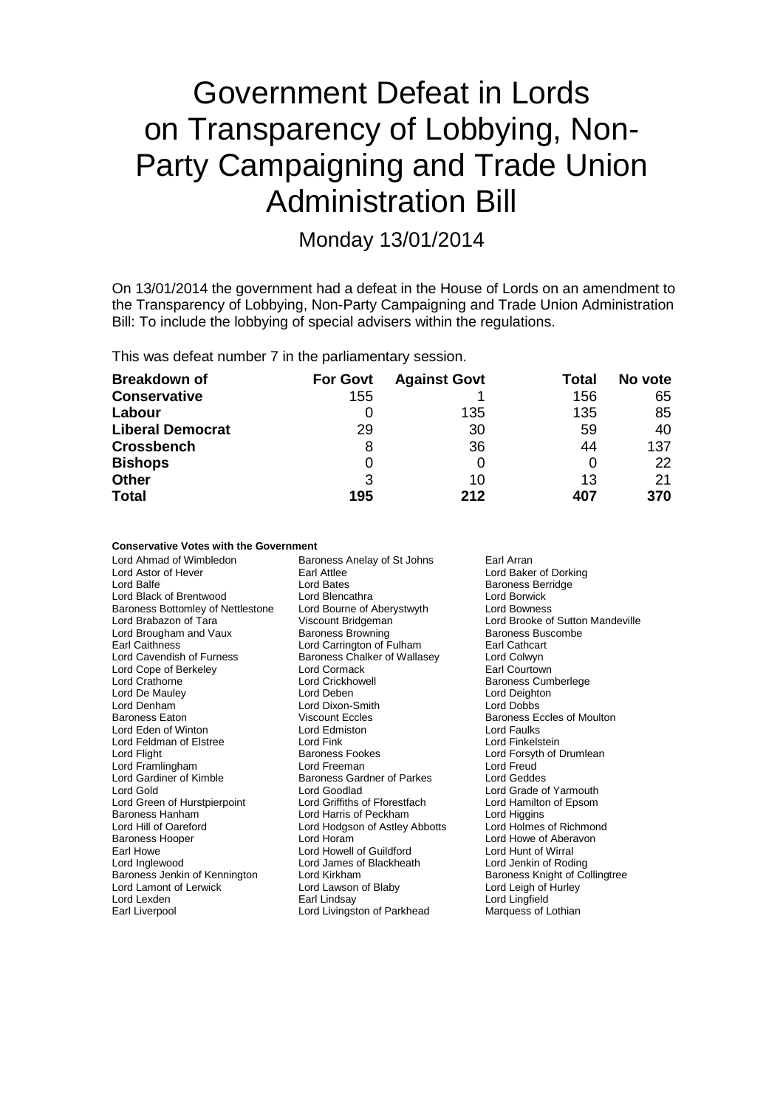# Government Defeat in Lords on Transparency of Lobbying, Non-Party Campaigning and Trade Union Administration Bill

Monday 13/01/2014

On 13/01/2014 the government had a defeat in the House of Lords on an amendment to the Transparency of Lobbying, Non-Party Campaigning and Trade Union Administration Bill: To include the lobbying of special advisers within the regulations.

This was defeat number 7 in the parliamentary session.

| <b>Breakdown of</b>     | <b>For Govt</b> | <b>Against Govt</b> | Total | No vote |
|-------------------------|-----------------|---------------------|-------|---------|
| <b>Conservative</b>     | 155             |                     | 156   | 65      |
| Labour                  |                 | 135                 | 135   | 85      |
| <b>Liberal Democrat</b> | 29              | 30                  | 59    | 40      |
| <b>Crossbench</b>       | 8               | 36                  | 44    | 137     |
| <b>Bishops</b>          | 0               |                     |       | 22      |
| <b>Other</b>            | 3               | 10                  | 13    | 21      |
| <b>Total</b>            | 195             | 212                 | 407   | 370     |

#### **Conservative Votes with the Government**

| Lord Ahmad of Wimbledon           | Baroness Anelay of St Johns    | Earl Arran                       |
|-----------------------------------|--------------------------------|----------------------------------|
| Lord Astor of Hever               | <b>Farl Attlee</b>             | Lord Baker of Dorking            |
| Lord Balfe                        | Lord Bates                     | <b>Baroness Berridge</b>         |
| Lord Black of Brentwood           | Lord Blencathra                | Lord Borwick                     |
| Baroness Bottomley of Nettlestone | Lord Bourne of Aberystwyth     | <b>Lord Bowness</b>              |
| Lord Brabazon of Tara             | Viscount Bridgeman             | Lord Brooke of Sutton Mandeville |
| Lord Brougham and Vaux            | <b>Baroness Browning</b>       | Baroness Buscombe                |
| <b>Earl Caithness</b>             | Lord Carrington of Fulham      | Earl Cathcart                    |
| Lord Cavendish of Furness         | Baroness Chalker of Wallasey   | Lord Colwyn                      |
| Lord Cope of Berkeley             | Lord Cormack                   | Earl Courtown                    |
| Lord Crathorne                    | Lord Crickhowell               | <b>Baroness Cumberlege</b>       |
| Lord De Mauley                    | Lord Deben                     | Lord Deighton                    |
| Lord Denham                       | Lord Dixon-Smith               | <b>Lord Dobbs</b>                |
| Baroness Eaton                    | <b>Viscount Eccles</b>         | Baroness Eccles of Moulton       |
| Lord Eden of Winton               | Lord Edmiston                  | Lord Faulks                      |
| Lord Feldman of Elstree           | Lord Fink                      | Lord Finkelstein                 |
| Lord Flight                       | <b>Baroness Fookes</b>         | Lord Forsyth of Drumlean         |
| Lord Framlingham                  | Lord Freeman                   | Lord Freud                       |
| Lord Gardiner of Kimble           | Baroness Gardner of Parkes     | <b>Lord Geddes</b>               |
| Lord Gold                         | Lord Goodlad                   | Lord Grade of Yarmouth           |
| Lord Green of Hurstpierpoint      | Lord Griffiths of Fforestfach  | Lord Hamilton of Epsom           |
| Baroness Hanham                   | Lord Harris of Peckham         | Lord Higgins                     |
| Lord Hill of Oareford             | Lord Hodgson of Astley Abbotts | Lord Holmes of Richmond          |
| <b>Baroness Hooper</b>            | Lord Horam                     | Lord Howe of Aberavon            |
| Earl Howe                         | Lord Howell of Guildford       | Lord Hunt of Wirral              |
| Lord Inglewood                    | Lord James of Blackheath       | Lord Jenkin of Roding            |
| Baroness Jenkin of Kennington     | Lord Kirkham                   | Baroness Knight of Collingtree   |
| Lord Lamont of Lerwick            | Lord Lawson of Blaby           | Lord Leigh of Hurley             |
| Lord Lexden                       | Earl Lindsay                   | Lord Lingfield                   |
| Earl Liverpool                    | Lord Livingston of Parkhead    | Marquess of Lothian              |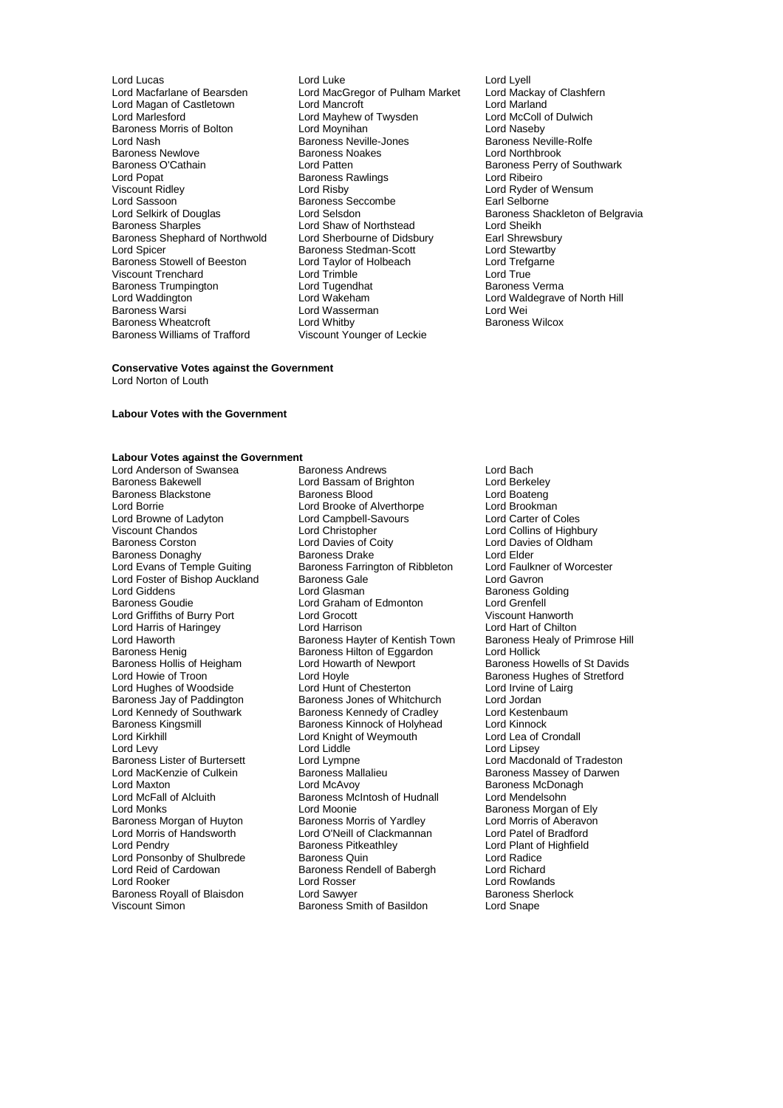Baroness Newlove Baroness Noakes<br>
Baroness O'Cathain March Lord Patten Baroness Trumpington **Lord Tugendhat**<br>
Lord Waddington **Baroness I Lord Wakeham** Baroness Wheatcroft<br>Baroness Williams of Trafford

Lord Lucas Lord Luke Lord Lyell Lord Macfarlane of Bearsden Lord MacGregor of Pulham Market Lord Mackay of Clashfern Lord Magan of Castletown Lord Mancroft **Lord Mancroft** Lord Marland<br>
Lord Marlesford Lord Mayhew of Twysden Lord McColl of Dulwich Lord Mayhew of Twysden Lord McColl of Lord McColl of Lord McColl of Dulyist Lord Maseby Baroness Morris of Bolton Lord Moynihan Lord Naseby Lord Nash **Baroness Neville-Jones** Baroness Neville-Jones Baroness Neville<br>Baroness Newlove Baroness Noakes Baroness Neville-Baroness O'Cathain Lord Patten Baroness Perry of Southwark Lord Popat Baroness Rawlings Lord Ribeiro Viscount Ridley Lord Risby Lord Ryder of Wensum Lord Sassoon **Baroness Seccombe** Earl Selborne Lord Selkirk of Douglas **Lord Selsdon** Lord Selsdon Baroness Shackleton of Belgravia<br>
Baroness Sharples **Baroness** Sharples **Lord Shaw of Northstead** Lord Sheikh Lord Shaw of Northstead Lord Sheikh<br>Lord Sherbourne of Didsbury Earl Shrewsbury Baroness Shephard of Northwold Lord Sherbourne of Didsbury Earl Shrewsbur<br>
Lord Spicer Cord Stewartby Baroness Stedman-Scott Lord Stewartby Exaroness Stedman-Scott<br>
Lord Taylor of Holbeach<br>
Lord Trefgarne Baroness Stowell of Beeston Lord Taylor of Holbeach Cord Trefg<br>
Lord Trenchard Cord Trefgarness Lord Trefgarness Lord True Viscount Trenchard Lord Trimble Lord True Lord Waddington Lord Wakeham Lord Waldegrave of North Hill Lord Wasserman **Example 2** Lord Wei<br>
Lord Whitby **Contains Container Container Baroness Wilcox** Viscount Younger of Leckie

#### **Conservative Votes against the Government**

Lord Norton of Louth

#### **Labour Votes with the Government**

### **Labour Votes against the Government**

Lord Browne of Ladyton Lord Campbell-Savours<br>
Viscount Chandos Lord Christopher Lord Foster of Bishop Auckland Baroness Gale<br>
Lord Giddens
Baroness<br>
Lord Glasman Baroness Henig Baroness Hilton of Eggardon<br>Baroness Hollis of Heigham Lord Howarth of Newport Baroness Lister of Burtersett Lord Lympne<br>Lord MacKenzie of Culkein Baroness Mallalieu Lord McFall of Alcluith Baroness McIntosh of Hudnall<br>
Lord Monks<br>
Lord Moonie Lord Morris of Handsworth Lord O'Neill of Clackmannan<br>
Lord Pendry Cord Baroness Pitkeathley

Lord Anderson of Swansea Baroness Andrews Lord Bach Lord Bassam of Brighton Lord Berkeley<br>Baroness Blood Lord Boateng Baroness Blackstone **Baroness Blood** Baroness Blood Lord Boateng<br>
Lord Boateng<br>
Lord Brookman<br>
Lord Brookman Lord Borrie Lord Brooke of Alverthorpe Lord Brookman Viscount Chandos<br>
Lord Collins of Highbury<br>
Lord Davies of Coity<br>
Lord Davies of Collins of Collins of Collins of Collins of Collins<br>
Lord Davies of Collins of Collins of Collins of Collins of Collins of Collins of Collins Lord Davies of Coity Lord Davies of Oldham<br>
Baroness Drake Lord Elder Baroness Donaghy **Baroness Drake** Lord Elder<br>
Lord Evans of Temple Guiting Baroness Farrington of Ribbleton Lord Faulkner of Worcester Baroness Farrington of Ribbleton Lord Faulkne<br>Baroness Gale Content Lord Gavron Lord Giddens **Lord Glasman** Communication Communication Communication Communication Communication Communication<br>Baroness Goudie **Baroness Communication** Communication Communication Communication Communication Communication Lord Graham of Edmonton Lord Grenfell<br>
Lord Grocott 
Viscount Hanworth Lord Griffiths of Burry Port Lord Grocott Cord Consumer Cord Viscount Hanworth<br>
Lord Harris of Haringey Lord Harrison Lord Harrison Lord Harrison Lord Harris of Haringey Lord Harrison Lord Hart of Chilton Lord Haworth **Baroness Hayter of Kentish Town** Baroness Health Baroness Health Baroness Health Baroness Hilton of Equardon Lord Hollick Baroness Hollis of Heigham Lord Howarth of Newport Baroness Howells of St Davids<br>
Lord Howie of Troon Lord Hoyle Cord Howell Baroness Hughes of Stretford Lord Hoyle<br>
Lord Hunt of Chesterton<br>
Lord Irvine of Lairg<br>
Lord Irvine of Lairg Lord Hughes of Woodside Lord Hunt of Chesterton Lord Irvine of Chesterton Lord Irvine of Chesterton Lord Jordan Baroness Jay of Paddington Baroness Jones of Whitchurch Lord Jordan Lord Kennedy of Southwark Baroness Kennedy of Cradley Lord Kestenbaum Lord Kennedy of Southwark **Baroness Kennedy of Cradley** Lord Kestenbaum Baroness Kinnock Baroness Kinnock Christenbaum Baroness Kinnock of Holyhead Lord Kinnock Baroness Kingsmill Baroness Kinnock of Holyhead Lord Kinnock Lord Knight of Weymouth Lord Levy<br>
Lord Lingey Lister of Burtersett Lord Lympne Lord Lingey<br>
Lord Macdonald of Tradeston<br>
Lord Macdonald of Tradeston Lord MacKenzie of Culkein **Baroness Mallalieu** Baroness Massey of Darwen<br>
Lord Maxton **Baroness McDonagh**<br>
Lord McAvoy **Communist Communist Communist Communist Communist Communist Communist Communist Communist Communist Co** Lord Maxton **Lord McAvoy Communist Lord McAvoy Baroness McDonagh**<br>
Lord McFall of Alcluith **Baroness McIntosh of Hudnall** Lord Mendelsohn Lord Moonie<br>
Baroness Morris of Yardlev<br>
Lord Morris of Aberavon Baroness Morgan of Huyton Baroness Morris of Yardley Caroness Morris of Aberavon Baroness Morris of Yurath Lord Morris of Aberavon Lord O'Neill of Clackmannan Curatel of Bradford Baroness Pitkeathley<br>
Baroness Quin<br>
Lord Radice<br>
Lord Radice Lord Ponsonby of Shulbrede Baroness Quin Cord Ponsonby of Shulbrede Baroness Quin Lord Radice<br>
Baroness Rendell of Babergh Lord Richard<br>
Lord Richard Baroness Rendell of Babergh Lord Rooker Lord Rosser Lord Rosser Lord Rowlands<br>
Baroness Royall of Blaisdon Lord Sawyer Lord Baroness Sherlock Baroness Royall of Blaisdon **Lord Sawyer** Lord Sawyer Baroness Sherlock Baroness Sherlock Basidon Baroness Sherlock<br>Viscount Simon **Contains Baroness Smith of Basildon** Lord Shape Baroness Smith of Basildon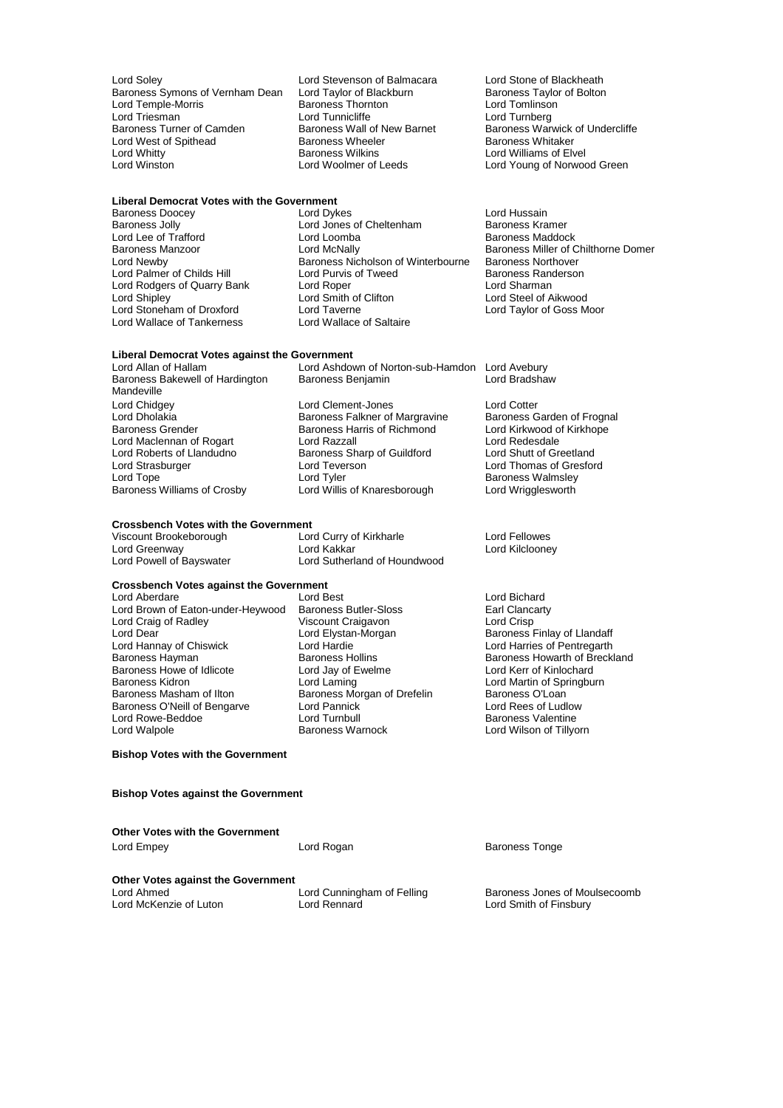Lord Soley **Lord Stevenson of Balmacara** Lord Stone of Blackheath<br>Baroness Symons of Vernham Dean Lord Taylor of Blackburn Baroness Taylor of Bolton Baroness Symons of Vernham Dean Lord Taylor of Blackburn Baroness Taylor Cord Tenness Taylor Cord Tomlinson Lord Temple-Morris **Baroness Thorn**<br>
Lord Triesman<br>
Lord Tunnicliffe Lord Triesman **Lord Tunnicliffe** Lord Turnberg<br>
Baroness Turner of Camden **Baroness Wall of New Barnet** Baroness Warw Lord West of Spithead Baroness Wheeler Baroness Wheeler Baroness Wilkins Lord Whitty **Communist Communist Communist Communist Communist Communist Communist Communist Communist Communist Communist Communist Communist Communist Communist Communist Communist Communist Communist Communist Communist** 

### **Liberal Democrat Votes with the Government**

Lord Lee of Trafford Lord Loomba<br>
Baroness Manzoor Lord McNally Lord Rodgers of Quarry Bank Lord Roper<br>
Lord Shipley Lord Smith of Clifton Lord Stoneham of Droxford<br>
Lord Wallace of Tankerness
Lord Wallace of Saltaire Lord Wallace of Tankerness

Baroness Doocey **Lord Dykes** Lord Dykes Lord Hussain<br>Baroness Jolly **Communist Constructs** Lord Jones of Cheltenham **Communist Baroness Kramer** Lord Jones of Cheltenham Baroness Kramer<br>
Lord Loomba<br>
Baroness Maddock Baroness Manzoor **Lord McNally** Baroness Miller of Chilthorne Domer<br>
Lord Newby Baroness Nicholson of Winterbourne Baroness Northover Baroness Nicholson of Winterbourne Baroness Northover<br>Lord Purvis of Tweed Baroness Randerson Lord Palmer of Childs Hill **Lord Purvis of Tweed Childs Baroness Randers**<br>Lord Rodgers of Quarry Bank Lord Roper Childs Romer Lord Sharman Lord Smith of Clifton Lord Steel of Aikwood<br>
Lord Taylor of Goss Moor

### **Liberal Democrat Votes against the Government**

Baroness Bakewell of Hardington Mandeville<br>Lord Chidgey Lord Chidgey **Lord Clement-Jones** Lord Conternation Lord Cotter<br>
Lord Dholakia **Conternation Conternation Conternation**<br>
Baroness Carden of Frognal Lord Dholakia **Baroness Falkner of Margravine** Baroness Garden of Frogn<br>Baroness Grender **Baroness Harris of Richmond** Lord Kirkwood of Kirkhope Lord Maclennan of Rogart<br>
Lord Redesdale<br>
Lord Redesdale<br>
Lord Roberts of Llandudno<br>
Baroness Sharp of Guildford<br>
Lord Shutt of Greetland Lord Roberts of Llandudno Baroness Sharp of Guildford<br>
Lord Strasburger Cord Teverson Lord Strasburger **Lord Text** Lord Teverson **Lord Thomas of Gresford**<br>
Lord Tope Lord Tope Lord Ther Corpus Corpus Baroness Walmsley

Lord Greenway<br>Lord Powell of Bayswater

Lord Ashdown of Norton-sub-Hamdon Lord Avebury<br>Baroness Benjamin Lord Bradshaw

Baroness Harris of Richmond Lord Kirkwood of Lord Razzall Lord Tope<br>
Baroness Williams of Crosby Lord Willis of Knaresborough Lord Wrigglesworth<br>
Lord Wrigglesworth Lord Willis of Knaresborough

## **Crossbench Votes with the Government**<br>Viscount Brookeborough Lord Curry of Kirkharle

Viscount Brookeborough Lord Curry of Kirkharle Lord Fellowes Lord Sutherland of Houndwood

### **Crossbench Votes against the Government**<br>Lord Aberdare lord Rest

Lord Aberdare **Lord Best** Lord Best Lord Bichard<br>
Lord Brown of Eaton-under-Heywood Baroness Butler-Sloss **Lord Brown of Eaton-under-Heywood** Baroness Butler-Sloss Lord Brown of Eaton-under-Heywood Baroness Butler-Sloss Earl Clancarty Corporation Craigavon Earl Clancarty Corpor<br>
Lord Crisp Viscount Craigavon Lord Crisp Lord Craig of Radley Viscount Craigavon<br>Lord Craig of Radley Viscount Craigavon<br>Lord Dear Lord Elystan-Morgan Lord Dear Lord Elystan-Morgan Baroness Finlay of Llandaff Lord Hannay of Chiswick Lord Hardie Lord Harries of Pentregarth Baroness Howe of Idlicote Lord Jay of E<br>
Baroness Kidron Lord Laming Baroness Kidron **Communist Communist Communist Communist Communist Communist Communist Communist Communist Communist Communist Communist Communist Communist Communist Communist Communist Communist Communist Communist Commu** Baroness O'Neill of Bengarve Lord Pannick <br>
Lord Rome Lord Turnbull Lord Turnbull<br>
Lord Romess Valentine Lord Rowe-Beddoe <sup>V</sup> Lord Turnbull<br>
Lord Walpole **Lord Walpole Communist Property** Baroness Warnock

Baroness Morgan of Drefelin Baroness O'Loan<br>
Lord Pannick Baroness O'Loan

Baroness Hollins Baroness Howarth of Breckland<br>
Lord Jay of Ewelme<br>
Lord Kerr of Kinlochard Lord Wilson of Tillyorn

**Bishop Votes with the Government**

#### **Bishop Votes against the Government**

**Other Votes with the Government**

Lord Empey Lord Rogan Baroness Tonge **Other Votes against the Government**<br>Lord Ahmed Lord Ahmed<br>
Lord Ahmed **Lord Cunningham of Felling** Baroness Jones of Moulsecoomb<br>
Lord McKenzie of Luton **Lord Rennard** Lord Rennard Lord Smith of Finsbury Lord Smith of Finsbury

Baroness Wall of New Barnet Baroness Warwick of Undercliffe<br>Baroness Wheeler Baroness Whitaker Lord Young of Norwood Green